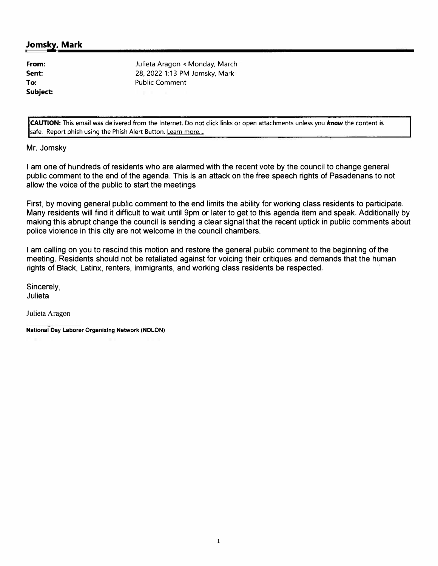### **Jomsky, Mark**

**From: Sent: To: Subject:** 

Julieta Aragon < Monday, March 28, 2022 1:13 PM Jomsky, Mark Public Comment

**CAUTION:** This email was delivered from the Internet. Do not click links or open attachments unless you *know* the content is safe. Report phish using the Phish Alert Button. Learn more....

Mr. Jomsky

I am one of hundreds of residents who are alarmed with the recent vote by the council to change general public comment to the end of the agenda. This is an attack on the free speech rights of Pasadenans to not allow the voice of the public to start the meetings.

First, by moving general public comment to the end limits the ability for working class residents to participate. Many residents will find it difficult to wait until 9pm or later to get to this agenda item and speak. Additionally by making this abrupt change the council is sending a clear signal that the recent uptick in public comments about police violence in this city are not welcome in the council chambers.

I am calling on you to rescind this motion and restore the general public comment to the beginning of the meeting. Residents should not be retaliated against for voicing their critiques and demands that the human rights of Black, Latinx, renters, immigrants, and working class residents be respected.

Sincerely, Julieta

Julieta Aragon

**National Day Laborer Organizing Network (NDLON)**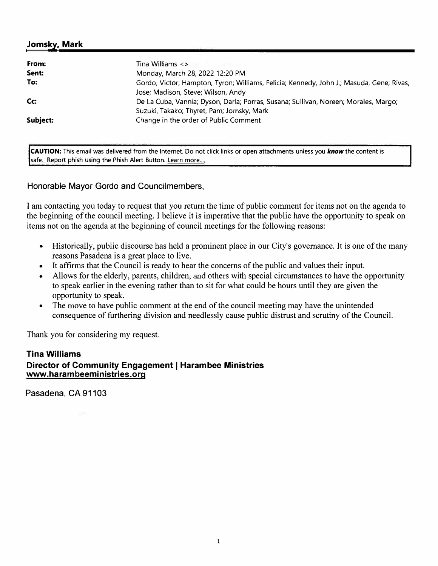# **Jomsky. Mark**

| From:    | Tina Williams $\lt$ ><br>and the company of the company of                                                                       |
|----------|----------------------------------------------------------------------------------------------------------------------------------|
| Sent:    | Monday, March 28, 2022 12:20 PM                                                                                                  |
| To:      | Gordo, Victor; Hampton, Tyron; Williams, Felicia; Kennedy, John J.; Masuda, Gene; Rivas,<br>Jose; Madison, Steve; Wilson, Andy   |
| Cc:      | De La Cuba, Vannia; Dyson, Darla; Porras, Susana; Sullivan, Noreen; Morales, Margo;<br>Suzuki, Takako; Thyret, Pam; Jomsky, Mark |
| Subject: | Change in the order of Public Comment                                                                                            |

**CAUTION:** This email was delivered from the Internet. Do not click links or open attachments unless you *know* the content is safe. Report phish using the Phish Alert Button. Learn more....

### Honorable Mayor Gordo and Councilmembers,

I am contacting you today to request that you return the time of public comment for items not on the agenda to the beginning of the council meeting. I believe it is imperative that the public have the opportunity to speak on items not on the agenda at the beginning of council meetings for the following reasons:

- Historically, public discourse has held a prominent place in our City's governance. It is one of the many reasons Pasadena is a great place to live.
- It affirms that the Council is ready to hear the concerns of the public and values their input.
- Allows for the elderly, parents, children, and others with special circumstances to have the opportunity to speak earlier in the evening rather than to sit for what could be hours until they are given the opportunity to speak.
- The move to have public comment at the end of the council meeting may have the unintended consequence of furthering division and needlessly cause public distrust and scrutiny of the Council.

Thank you for considering my request.

# **Tina Williams**

### **www. harambeeministries.org Director of Community Engagement I Harambee Ministries**

Pasadena, CA 91103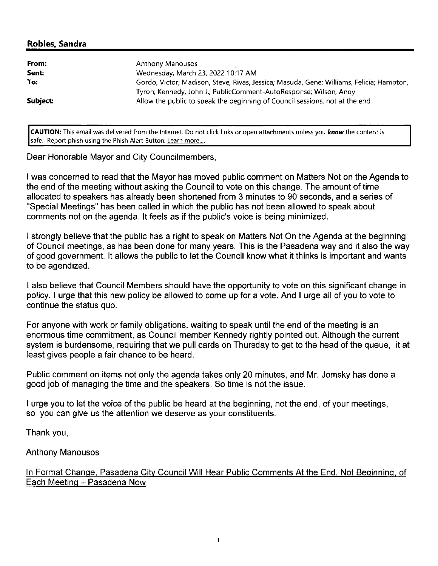# Robles, Sandra

| From:    | Anthony Manousos                                                                         |
|----------|------------------------------------------------------------------------------------------|
| Sent:    | Wednesday, March 23, 2022 10:17 AM                                                       |
| To:      | Gordo, Victor; Madison, Steve; Rivas, Jessica; Masuda, Gene; Williams, Felicia; Hampton, |
|          | Tyron; Kennedy, John J.; PublicComment-AutoResponse; Wilson, Andy                        |
| Subject: | Allow the public to speak the beginning of Council sessions, not at the end              |
|          |                                                                                          |

CAUTION: This email was delivered from the Internet. Do not click links or open attachments unless you know the content is safe. Report phish using the Phish Alert Button. Learn more....

Dear Honorable Mayor and City Councilmembers,

I was concerned to read that the Mayor has moved public comment on Matters Not on the Agenda to the end of the meeting without asking the Council to vote on this change. The amount of time allocated to speakers has already been shortened from 3 minutes to 90 seconds, and a series of "Special Meetings" has been called in which the public has not been allowed to speak about comments not on the agenda. It feels as if the public's voice is being minimized.

I strongly believe that the public has a right to speak on Matters Not On the Agenda at the beginning of Council meetings, as has been done for many years. This is the Pasadena way and it also the way of good government. It allows the public to let the Council know what it thinks is important and wants to be agendized.

I also believe that Council Members should have the opportunity to vote on this significant change in policy. I urge that this new policy be allowed to come up for a vote. And I urge all of you to vote to continue the status quo.

For anyone with work or family obligations, waiting to speak until the end of the meeting is an enormous time commitment, as Council member Kennedy rightly pointed out. Although the current system is burdensome, requiring that we pull cards on Thursday to get to the head of the queue, it at least gives people a fair chance to be heard.

Public comment on items not only the agenda takes only 20 minutes, and Mr. Jomsky has done a good job of managing the time and the speakers. So time is not the issue.

I urge you to let the voice of the public be heard at the beginning, not the end, of your meetings, so you can give us the attention we deserve as your constituents.

Thank you,

**Anthony Manousos** 

In Format Change, Pasadena City Council Will Hear Public Comments At the End, Not Beginning, of Each Meeting - Pasadena Now